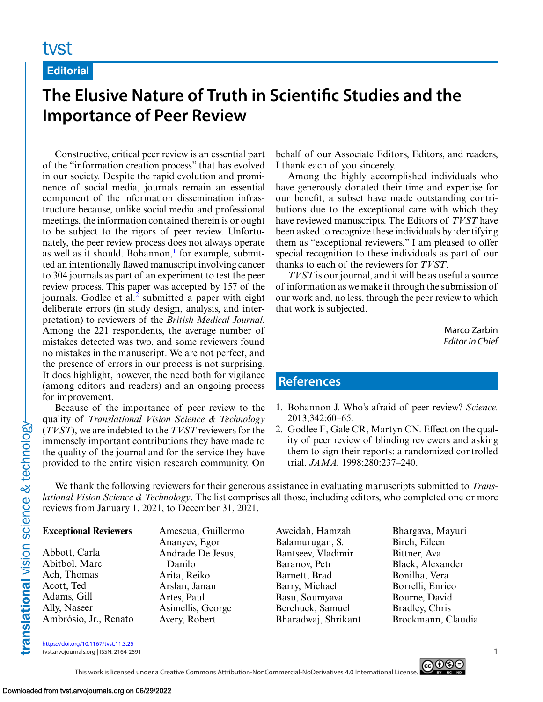### **Editorial**

# **The Elusive Nature of Truth in Scientific Studies and the Importance of Peer Review**

Constructive, critical peer review is an essential part of the "information creation process" that has evolved in our society. Despite the rapid evolution and prominence of social media, journals remain an essential component of the information dissemination infrastructure because, unlike social media and professional meetings, the information contained therein is or ought to be subject to the rigors of peer review. Unfortunately, the peer review process does not always operate as well as it should. Bohannon, $<sup>1</sup>$  for example, submit-</sup> ted an intentionally flawed manuscript involving cancer to 304 journals as part of an experiment to test the peer review process. This paper was accepted by 157 of the journals. Godlee et al. $<sup>2</sup>$  submitted a paper with eight</sup> deliberate errors (in study design, analysis, and interpretation) to reviewers of the *British Medical Journal*. Among the 221 respondents, the average number of mistakes detected was two, and some reviewers found no mistakes in the manuscript. We are not perfect, and the presence of errors in our process is not surprising. It does highlight, however, the need both for vigilance (among editors and readers) and an ongoing process for improvement.

Because of the importance of peer review to the quality of *Translational Vision Science & Technology* (*TVST*), we are indebted to the *TVST* reviewers for the immensely important contributions they have made to the quality of the journal and for the service they have provided to the entire vision research community. On

behalf of our Associate Editors, Editors, and readers, I thank each of you sincerely.

Among the highly accomplished individuals who have generously donated their time and expertise for our benefit, a subset have made outstanding contributions due to the exceptional care with which they have reviewed manuscripts. The Editors of *TVST* have been asked to recognize these individuals by identifying them as "exceptional reviewers." I am pleased to offer special recognition to these individuals as part of our thanks to each of the reviewers for *TVST*.

*TVST* is our journal, and it will be as useful a source of information as we make it through the submission of our work and, no less, through the peer review to which that work is subjected.

> Marco Zarbin *Editor in Chief*

## **References**

- 1. Bohannon J. Who's afraid of peer review? *Science.* 2013;342:60–65.
- 2. Godlee F, Gale CR, Martyn CN. Effect on the quality of peer review of blinding reviewers and asking them to sign their reports: a randomized controlled trial. *JAMA.* 1998;280:237–240.

We thank the following reviewers for their generous assistance in evaluating manuscripts submitted to *Translational Vision Science & Technology*. The list comprises all those, including editors, who completed one or more reviews from January 1, 2021, to December 31, 2021.

#### **Exceptional Reviewers**

Abbott, Carla Abitbol, Marc Ach, Thomas Acott, Ted Adams, Gill Ally, Naseer Ambrósio, Jr., Renato Amescua, Guillermo Ananyev, Egor Andrade De Jesus, Danilo Arita, Reiko Arslan, Janan Artes, Paul Asimellis, George Avery, Robert

- Aweidah, Hamzah Balamurugan, S. Bantseev, Vladimir Baranov, Petr Barnett, Brad Barry, Michael Basu, Soumyava Berchuck, Samuel Bharadwaj, Shrikant
- Bhargava, Mayuri Birch, Eileen Bittner, Ava Black, Alexander Bonilha, Vera Borrelli, Enrico Bourne, David Bradley, Chris Brockmann, Claudia

<https://doi.org/10.1167/tvst.11.3.25>

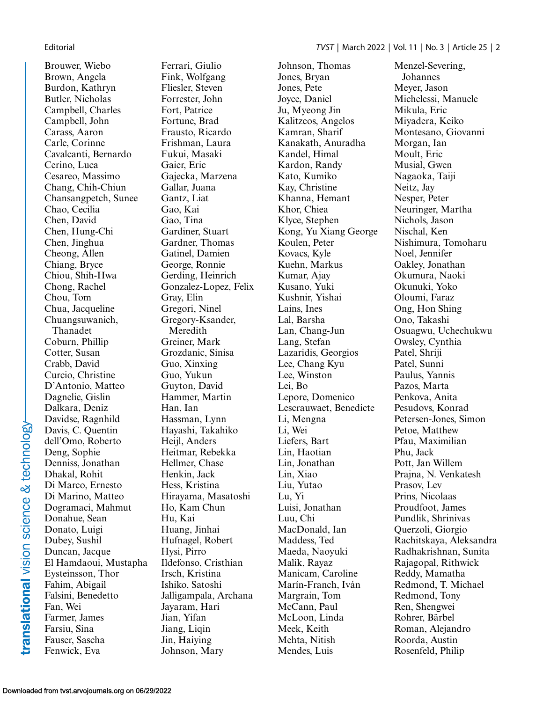Brouwer, Wiebo Brown, Angela Burdon, Kathryn Butler, Nicholas Campbell, Charles Campbell, John Carass, Aaron Carle, Corinne Cavalcanti, Bernardo Cerino, Luca Cesareo, Massimo Chang, Chih-Chiun Chansangpetch, Sunee Chao, Cecilia Chen, David Chen, Hung-Chi Chen, Jinghua Cheong, Allen Chiang, Bryce Chiou, Shih-Hwa Chong, Rachel Chou, Tom Chua, Jacqueline Chuangsuwanich, Thanadet Coburn, Phillip Cotter, Susan Crabb, David Curcio, Christine D'Antonio, Matteo Dagnelie, Gislin Dalkara, Deniz Davidse, Ragnhild Davis, C. Quentin dell'Omo, Roberto Deng, Sophie Denniss, Jonathan Dhakal, Rohit Di Marco, Ernesto Di Marino, Matteo Dogramaci, Mahmut Donahue, Sean Donato, Luigi Dubey, Sushil Duncan, Jacque El Hamdaoui, Mustapha Eysteinsson, Thor Fahim, Abigail Falsini, Benedetto Fan, Wei Farmer, James Farsiu, Sina Fauser, Sascha Fenwick, Eva

Ferrari, Giulio Fink, Wolfgang Fliesler, Steven Forrester, John Fort, Patrice Fortune, Brad Frausto, Ricardo Frishman, Laura Fukui, Masaki Gaier, Eric Gajecka, Marzena Gallar, Juana Gantz, Liat Gao, Kai Gao, Tina Gardiner, Stuart Gardner, Thomas Gatinel, Damien George, Ronnie Gerding, Heinrich Gonzalez-Lopez, Felix Gray, Elin Gregori, Ninel Gregory-Ksander, Meredith Greiner, Mark Grozdanic, Sinisa Guo, Xinxing Guo, Yukun Guyton, David Hammer, Martin Han, Ian Hassman, Lynn Hayashi, Takahiko Heijl, Anders Heitmar, Rebekka Hellmer, Chase Henkin, Jack Hess, Kristina Hirayama, Masatoshi Ho, Kam Chun Hu, Kai Huang, Jinhai Hufnagel, Robert Hysi, Pirro Ildefonso, Cristhian Irsch, Kristina Ishiko, Satoshi Jalligampala, Archana Jayaram, Hari Jian, Yifan Jiang, Liqin Jin, Haiying Johnson, Mary

Johnson, Thomas Jones, Bryan Jones, Pete Joyce, Daniel Ju, Myeong Jin Kalitzeos, Angelos Kamran, Sharif Kanakath, Anuradha Kandel, Himal Kardon, Randy Kato, Kumiko Kay, Christine Khanna, Hemant Khor, Chiea Klyce, Stephen Kong, Yu Xiang George Koulen, Peter Kovacs, Kyle Kuehn, Markus Kumar, Ajay Kusano, Yuki Kushnir, Yishai Lains, Ines Lal, Barsha Lan, Chang-Jun Lang, Stefan Lazaridis, Georgios Lee, Chang Kyu Lee, Winston Lei, Bo Lepore, Domenico Lescrauwaet, Benedicte Li, Mengna Li, Wei Liefers, Bart Lin, Haotian Lin, Jonathan Lin, Xiao Liu, Yutao Lu, Yi Luisi, Jonathan Luu, Chi MacDonald, Ian Maddess, Ted Maeda, Naoyuki Malik, Rayaz Manicam, Caroline Marín-Franch, Iván Margrain, Tom McCann, Paul McLoon, Linda Meek, Keith Mehta, Nitish Mendes, Luis

Menzel-Severing, Johannes Meyer, Jason Michelessi, Manuele Mikula, Eric Miyadera, Keiko Montesano, Giovanni Morgan, Ian Moult, Eric Musial, Gwen Nagaoka, Taiji Neitz, Jay Nesper, Peter Neuringer, Martha Nichols, Jason Nischal, Ken Nishimura, Tomoharu Noel, Jennifer Oakley, Jonathan Okumura, Naoki Okunuki, Yoko Oloumi, Faraz Ong, Hon Shing Ono, Takashi Osuagwu, Uchechukwu Owsley, Cynthia Patel, Shriji Patel, Sunni Paulus, Yannis Pazos, Marta Penkova, Anita Pesudovs, Konrad Petersen-Jones, Simon Petoe, Matthew Pfau, Maximilian Phu, Jack Pott, Jan Willem Prajna, N. Venkatesh Prasov, Lev Prins, Nicolaas Proudfoot, James Pundlik, Shrinivas Querzoli, Giorgio Rachitskaya, Aleksandra Radhakrishnan, Sunita Rajagopal, Rithwick Reddy, Mamatha Redmond, T. Michael Redmond, Tony Ren, Shengwei Rohrer, Bärbel Roman, Alejandro Roorda, Austin Rosenfeld, Philip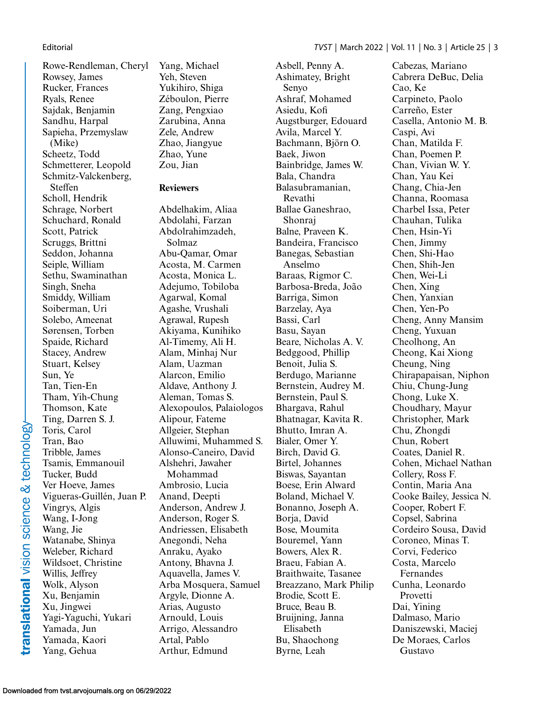Rowe-Rendleman, Cheryl Rowsey, James Rucker, Frances Ryals, Renee Sajdak, Benjamin Sandhu, Harpal Sapieha, Przemyslaw (Mike) Scheetz, Todd Schmetterer, Leopold Schmitz-Valckenberg, Steffen Scholl, Hendrik Schrage, Norbert Schuchard, Ronald Scott, Patrick Scruggs, Brittni Seddon, Johanna Seiple, William Sethu, Swaminathan Singh, Sneha Smiddy, William Soiberman, Uri Solebo, Ameenat Sørensen, Torben Spaide, Richard Stacey, Andrew Stuart, Kelsey Sun, Ye Tan, Tien-En Tham, Yih-Chung Thomson, Kate Ting, Darren S. J. Toris, Carol Tran, Bao Tribble, James Tsamis, Emmanouil Tucker, Budd Ver Hoeve, James Vigueras-Guillén, Juan P. Vingrys, Algis Wang, I-Jong Wang, Jie Watanabe, Shinya Weleber, Richard Wildsoet, Christine Willis, Jeffrey Wolk, Alyson Xu, Benjamin Xu, Jingwei Yagi-Yaguchi, Yukari Yamada, Jun Yamada, Kaori Yang, Gehua

Yang, Michael Yeh, Steven Yukihiro, Shiga Zéboulon, Pierre Zang, Pengxiao Zarubina, Anna Zele, Andrew Zhao, Jiangyue Zhao, Yune Zou, Jian

### **Reviewers**

Abdelhakim, Aliaa Abdolahi, Farzan Abdolrahimzadeh, Solmaz Abu-Qamar, Omar Acosta, M. Carmen Acosta, Monica L. Adejumo, Tobiloba Agarwal, Komal Agashe, Vrushali Agrawal, Rupesh Akiyama, Kunihiko Al-Timemy, Ali H. Alam, Minhaj Nur Alam, Uazman Alarcon, Emilio Aldave, Anthony J. Aleman, Tomas S. Alexopoulos, Palaiologos Alipour, Fateme Allgeier, Stephan Alluwimi, Muhammed S. Alonso-Caneiro, David Alshehri, Jawaher Mohammad Ambrosio, Lucia Anand, Deepti Anderson, Andrew J. Anderson, Roger S. Andriessen, Elisabeth Anegondi, Neha Anraku, Ayako Antony, Bhavna J. Aquavella, James V. Arba Mosquera, Samuel Argyle, Dionne A. Arias, Augusto Arnould, Louis Arrigo, Alessandro Artal, Pablo Arthur, Edmund

Avila, Marcel Y. Bachmann, Björn O. Baek, Jiwon Bainbridge, James W. Bala, Chandra Balasubramanian, Revathi Ballae Ganeshrao, Shonraj Balne, Praveen K. Bandeira, Francisco Banegas, Sebastian Anselmo Baraas, Rigmor C. Barbosa-Breda, João Barriga, Simon Barzelay, Aya Bassi, Carl Basu, Sayan Beare, Nicholas A. V. Bedggood, Phillip Benoit, Julia S. Berdugo, Marianne Bernstein, Audrey M. Bernstein, Paul S. Bhargava, Rahul Bhatnagar, Kavita R. Bhutto, Imran A. Bialer, Omer Y. Birch, David G. Birtel, Johannes Biswas, Sayantan Boese, Erin Alward Boland, Michael V. Bonanno, Joseph A. Borja, David Bose, Moumita Bouremel, Yann Bowers, Alex R. Braeu, Fabian A. Braithwaite, Tasanee Breazzano, Mark Philip Brodie, Scott E. Bruce, Beau B. Bruijning, Janna Elisabeth Bu, Shaochong Byrne, Leah

Asbell, Penny A. Ashimatey, Bright

Ashraf, Mohamed Asiedu, Kofi

Augstburger, Edouard

Senyo

Cabezas, Mariano Cabrera DeBuc, Delia Cao, Ke Carpineto, Paolo Carreño, Ester Casella, Antonio M. B. Caspi, Avi Chan, Matilda F. Chan, Poemen P. Chan, Vivian W. Y. Chan, Yau Kei Chang, Chia-Jen Channa, Roomasa Charbel Issa, Peter Chauhan, Tulika Chen, Hsin-Yi Chen, Jimmy Chen, Shi-Hao Chen, Shih-Jen Chen, Wei-Li Chen, Xing Chen, Yanxian Chen, Yen-Po Cheng, Anny Mansim Cheng, Yuxuan Cheolhong, An Cheong, Kai Xiong Cheung, Ning Chirapapaisan, Niphon Chiu, Chung-Jung Chong, Luke X. Choudhary, Mayur Christopher, Mark Chu, Zhongdi Chun, Robert Coates, Daniel R. Cohen, Michael Nathan Collery, Ross F. Contin, Maria Ana Cooke Bailey, Jessica N. Cooper, Robert F. Copsel, Sabrina Cordeiro Sousa, David Coroneo, Minas T. Corvi, Federico Costa, Marcelo Fernandes Cunha, Leonardo Provetti Dai, Yining Dalmaso, Mario Daniszewski, Maciej De Moraes, Carlos Gustavo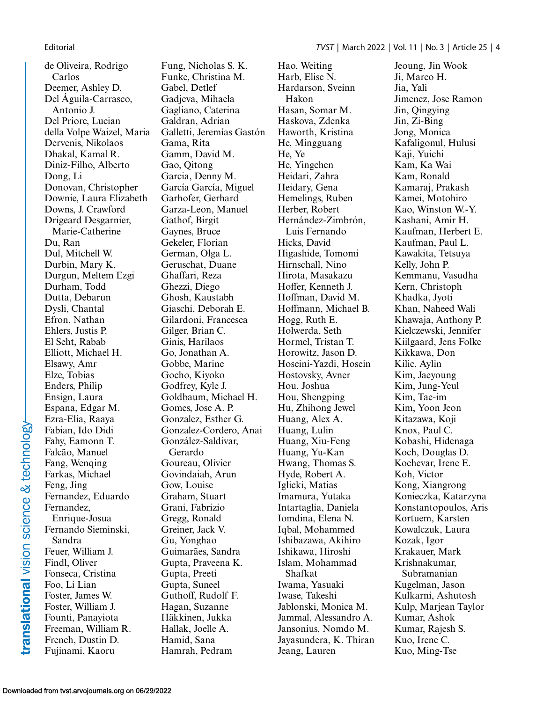de Oliveira, Rodrigo Carlos Deemer, Ashley D. Del Águila-Carrasco, Antonio J. Del Priore, Lucian della Volpe Waizel, Maria Dervenis, Nikolaos Dhakal, Kamal R. Diniz-Filho, Alberto Dong, Li Donovan, Christopher Downie, Laura Elizabeth Downs, J. Crawford Drigeard Desgarnier, Marie-Catherine Du, Ran Dul, Mitchell W. Durbin, Mary K. Durgun, Meltem Ezgi Durham, Todd Dutta, Debarun Dysli, Chantal Efron, Nathan Ehlers, Justis P. El Seht, Rabab Elliott, Michael H. Elsawy, Amr Elze, Tobias Enders, Philip Ensign, Laura Espana, Edgar M. Ezra-Elia, Raaya Fabian, Ido Didi Fahy, Eamonn T. Falcão, Manuel Fang, Wenqing Farkas, Michael Feng, Jing Fernandez, Eduardo Fernandez, Enrique-Josua Fernando Sieminski, Sandra Feuer, William J. Findl, Oliver Fonseca, Cristina Foo, Li Lian Foster, James W. Foster, William J. Founti, Panayiota Freeman, William R. French, Dustin D. Fujinami, Kaoru

Fung, Nicholas S. K. Funke, Christina M. Gabel, Detlef Gadjeva, Mihaela Gagliano, Caterina Galdran, Adrian Galletti, Jeremías Gastón Gama, Rita Gamm, David M. Gao, Qitong Garcia, Denny M. García García, Miguel Garhofer, Gerhard Garza-Leon, Manuel Gathof, Birgit Gaynes, Bruce Gekeler, Florian German, Olga L. Geruschat, Duane Ghaffari, Reza Ghezzi, Diego Ghosh, Kaustabh Giaschi, Deborah E. Gilardoni, Francesca Gilger, Brian C. Ginis, Harilaos Go, Jonathan A. Gobbe, Marine Gocho, Kiyoko Godfrey, Kyle J. Goldbaum, Michael H. Gomes, Jose A. P. Gonzalez, Esther G. Gonzalez-Cordero, Anai González-Saldivar, Gerardo Goureau, Olivier Govindaiah, Arun Gow, Louise Graham, Stuart Grani, Fabrizio Gregg, Ronald Greiner, Jack V. Gu, Yonghao Guimarães, Sandra Gupta, Praveena K. Gupta, Preeti Gupta, Suneel Guthoff, Rudolf F. Hagan, Suzanne Häkkinen, Jukka Hallak, Joelle A. Hamid, Sana Hamrah, Pedram

Hao, Weiting Harb, Elise N. Hardarson, Sveinn Hakon Hasan, Somar M. Haskova, Zdenka Haworth, Kristina He, Mingguang He, Ye He, Yingchen Heidari, Zahra Heidary, Gena Hemelings, Ruben Herber, Robert Hernández-Zimbrón, Luis Fernando Hicks, David Higashide, Tomomi Hirnschall, Nino Hirota, Masakazu Hoffer, Kenneth J. Hoffman, David M. Hoffmann, Michael B. Hogg, Ruth E. Holwerda, Seth Hormel, Tristan T. Horowitz, Jason D. Hoseini-Yazdi, Hosein Hostovsky, Avner Hou, Joshua Hou, Shengping Hu, Zhihong Jewel Huang, Alex A. Huang, Lulin Huang, Xiu-Feng Huang, Yu-Kan Hwang, Thomas S. Hyde, Robert A. Iglicki, Matias Imamura, Yutaka Intartaglia, Daniela Iomdina, Elena N. Iqbal, Mohammed Ishibazawa, Akihiro Ishikawa, Hiroshi Islam, Mohammad Shafkat Iwama, Yasuaki Iwase, Takeshi Jablonski, Monica M. Jammal, Alessandro A. Jansonius, Nomdo M. Jayasundera, K. Thiran Jeang, Lauren

Jeoung, Jin Wook Ji, Marco H. Jia, Yali Jimenez, Jose Ramon Jin, Qingying Jin, Zi-Bing Jong, Monica Kafaligonul, Hulusi Kaji, Yuichi Kam, Ka Wai Kam, Ronald Kamaraj, Prakash Kamei, Motohiro Kao, Winston W.-Y. Kashani, Amir H. Kaufman, Herbert E. Kaufman, Paul L. Kawakita, Tetsuya Kelly, John P. Kemmanu, Vasudha Kern, Christoph Khadka, Jyoti Khan, Naheed Wali Khawaja, Anthony P. Kielczewski, Jennifer Kiilgaard, Jens Folke Kikkawa, Don Kilic, Aylin Kim, Jaeyoung Kim, Jung-Yeul Kim, Tae-im Kim, Yoon Jeon Kitazawa, Koji Knox, Paul C. Kobashi, Hidenaga Koch, Douglas D. Kochevar, Irene E. Koh, Victor Kong, Xiangrong Konieczka, Katarzyna Konstantopoulos, Aris Kortuem, Karsten Kowalczuk, Laura Kozak, Igor Krakauer, Mark Krishnakumar, Subramanian Kugelman, Jason Kulkarni, Ashutosh Kulp, Marjean Taylor Kumar, Ashok Kumar, Rajesh S. Kuo, Irene C. Kuo, Ming-Tse

translational vision science & technology-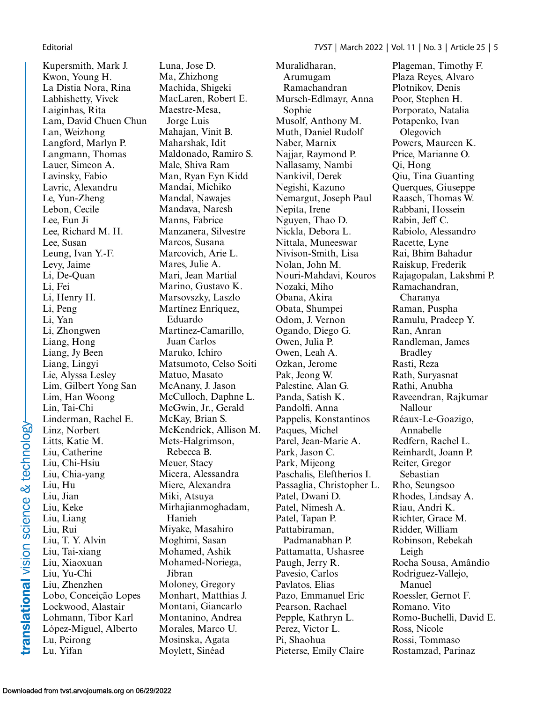Kupersmith, Mark J. Kwon, Young H. La Distia Nora, Rina Labhishetty, Vivek Laiginhas, Rita Lam, David Chuen Chun Lan, Weizhong Langford, Marlyn P. Langmann, Thomas Lauer, Simeon A. Lavinsky, Fabio Lavric, Alexandru Le, Yun-Zheng Lebon, Cecile Lee, Eun Ji Lee, Richard M. H. Lee, Susan Leung, Ivan Y.-F. Levy, Jaime Li, De-Quan Li, Fei Li, Henry H. Li, Peng Li, Yan Li, Zhongwen Liang, Hong Liang, Jy Been Liang, Lingyi Lie, Alyssa Lesley Lim, Gilbert Yong San Lim, Han Woong Lin, Tai-Chi Linderman, Rachel E. Linz, Norbert Litts, Katie M. Liu, Catherine Liu, Chi-Hsiu Liu, Chia-yang Liu, Hu Liu, Jian Liu, Keke Liu, Liang Liu, Rui Liu, T. Y. Alvin Liu, Tai-xiang Liu, Xiaoxuan Liu, Yu-Chi Liu, Zhenzhen Lobo, Conceição Lopes Lockwood, Alastair Lohmann, Tibor Karl López-Miguel, Alberto Lu, Peirong Lu, Yifan

Luna, Jose D. Ma, Zhizhong Machida, Shigeki MacLaren, Robert E. Maestre-Mesa, Jorge Luis Mahajan, Vinit B. Maharshak, Idit Maldonado, Ramiro S. Male, Shiva Ram Man, Ryan Eyn Kidd Mandai, Michiko Mandal, Nawajes Mandava, Naresh Manns, Fabrice Manzanera, Silvestre Marcos, Susana Marcovich, Arie L. Mares, Julie A. Mari, Jean Martial Marino, Gustavo K. Marsovszky, Laszlo Martínez Enríquez, Eduardo Martinez-Camarillo, Juan Carlos Maruko, Ichiro Matsumoto, Celso Soiti Matuo, Masato McAnany, J. Jason McCulloch, Daphne L. McGwin, Jr., Gerald McKay, Brian S. McKendrick, Allison M. Mets-Halgrimson, Rebecca B. Meuer, Stacy Micera, Alessandra Miere, Alexandra Miki, Atsuya Mirhajianmoghadam, Hanieh Miyake, Masahiro Moghimi, Sasan Mohamed, Ashik Mohamed-Noriega, Jibran Moloney, Gregory Monhart, Matthias J. Montani, Giancarlo Montanino, Andrea Morales, Marco U. Mosinska, Agata Moylett, Sinéad

Muralidharan, Arumugam Ramachandran Mursch-Edlmayr, Anna Sophie Musolf, Anthony M. Muth, Daniel Rudolf Naber, Marnix Najjar, Raymond P. Nallasamy, Nambi Nankivil, Derek Negishi, Kazuno Nemargut, Joseph Paul Nepita, Irene Nguyen, Thao D. Nickla, Debora L. Nittala, Muneeswar Nivison-Smith, Lisa Nolan, John M. Nouri-Mahdavi, Kouros Nozaki, Miho Obana, Akira Obata, Shumpei Odom, J. Vernon Ogando, Diego G. Owen, Julia P. Owen, Leah A. Ozkan, Jerome Pak, Jeong W. Palestine, Alan G. Panda, Satish K. Pandolfi, Anna Pappelis, Konstantinos Paques, Michel Parel, Jean-Marie A. Park, Jason C. Park, Mijeong Paschalis, Eleftherios I. Passaglia, Christopher L. Patel, Dwani D. Patel, Nimesh A. Patel, Tapan P. Pattabiraman, Padmanabhan P. Pattamatta, Ushasree Paugh, Jerry R. Pavesio, Carlos Pavlatos, Elias Pazo, Emmanuel Eric Pearson, Rachael Pepple, Kathryn L. Perez, Victor L. Pi, Shaohua Pieterse, Emily Claire

Plageman, Timothy F. Plaza Reyes, Alvaro Plotnikov, Denis Poor, Stephen H. Porporato, Natalia Potapenko, Ivan Olegovich Powers, Maureen K. Price, Marianne O. Qi, Hong Qiu, Tina Guanting Querques, Giuseppe Raasch, Thomas W. Rabbani, Hossein Rabin, Jeff C. Rabiolo, Alessandro Racette, Lyne Rai, Bhim Bahadur Raiskup, Frederik Rajagopalan, Lakshmi P. Ramachandran, Charanya Raman, Puspha Ramulu, Pradeep Y. Ran, Anran Randleman, James Bradley Rasti, Reza Rath, Suryasnat Rathi, Anubha Raveendran, Rajkumar Nallour Réaux-Le-Goazigo, Annabelle Redfern, Rachel L. Reinhardt, Joann P. Reiter, Gregor Sebastian Rho, Seungsoo Rhodes, Lindsay A. Riau, Andri K. Richter, Grace M. Ridder, William Robinson, Rebekah Leigh Rocha Sousa, Amândio Rodriguez-Vallejo, Manuel Roessler, Gernot F. Romano, Vito Romo-Buchelli, David E. Ross, Nicole Rossi, Tommaso Rostamzad, Parinaz

translational vision science & technology-